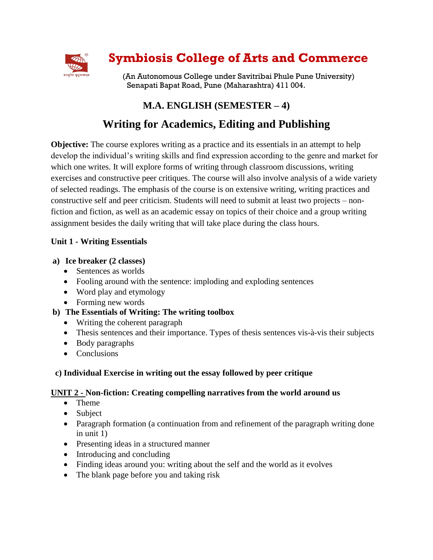

# **Symbiosis College of Arts and Commerce**

(An Autonomous College under Savitribai Phule Pune University) Senapati Bapat Road, Pune (Maharashtra) 411 004.

## **M.A. ENGLISH (SEMESTER – 4)**

## **Writing for Academics, Editing and Publishing**

**Objective:** The course explores writing as a practice and its essentials in an attempt to help develop the individual's writing skills and find expression according to the genre and market for which one writes. It will explore forms of writing through classroom discussions, writing exercises and constructive peer critiques. The course will also involve analysis of a wide variety of selected readings. The emphasis of the course is on extensive writing, writing practices and constructive self and peer criticism. Students will need to submit at least two projects – nonfiction and fiction, as well as an academic essay on topics of their choice and a group writing assignment besides the daily writing that will take place during the class hours.

## **Unit 1 - Writing Essentials**

## **a) Ice breaker (2 classes)**

- Sentences as worlds
- Fooling around with the sentence: imploding and exploding sentences
- Word play and etymology
- Forming new words

## **b) The Essentials of Writing: The writing toolbox**

- Writing the coherent paragraph
- Thesis sentences and their importance. Types of thesis sentences vis-à-vis their subjects
- Body paragraphs
- Conclusions

## **c) Individual Exercise in writing out the essay followed by peer critique**

## **UNIT 2 - Non-fiction: Creating compelling narratives from the world around us**

- Theme
- Subject
- Paragraph formation (a continuation from and refinement of the paragraph writing done in unit 1)
- Presenting ideas in a structured manner
- Introducing and concluding
- Finding ideas around you: writing about the self and the world as it evolves
- The blank page before you and taking risk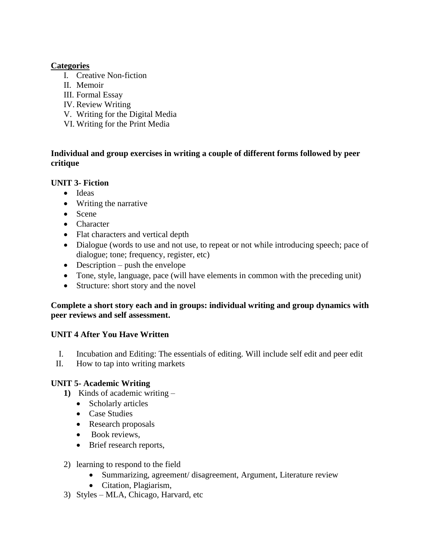#### **Categories**

- I. Creative Non-fiction
- II. Memoir
- III. Formal Essay
- IV. Review Writing
- V. Writing for the Digital Media
- VI. Writing for the Print Media

#### **Individual and group exercises in writing a couple of different forms followed by peer critique**

### **UNIT 3- Fiction**

- Ideas
- Writing the narrative
- Scene
- Character
- Flat characters and vertical depth
- Dialogue (words to use and not use, to repeat or not while introducing speech; pace of dialogue; tone; frequency, register, etc)
- $\bullet$  Description push the envelope
- Tone, style, language, pace (will have elements in common with the preceding unit)
- Structure: short story and the novel

### **Complete a short story each and in groups: individual writing and group dynamics with peer reviews and self assessment.**

## **UNIT 4 After You Have Written**

- I. Incubation and Editing: The essentials of editing. Will include self edit and peer edit
- II. How to tap into writing markets

#### **UNIT 5- Academic Writing**

- **1)** Kinds of academic writing
	- Scholarly articles
	- Case Studies
	- Research proposals
	- Book reviews,
	- Brief research reports,
- 2) learning to respond to the field
	- Summarizing, agreement/ disagreement, Argument, Literature review
	- Citation, Plagiarism,
- 3) Styles MLA, Chicago, Harvard, etc